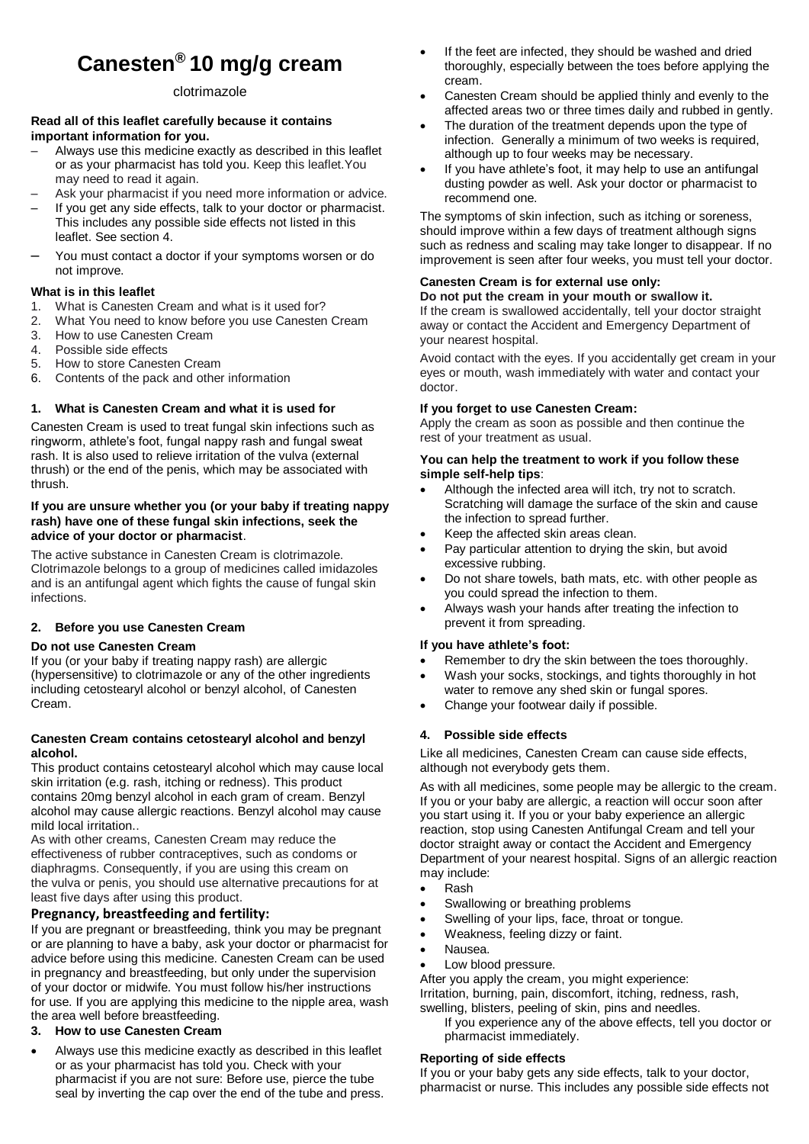# **Canesten® 10 mg/g cream**

# clotrimazole

#### **Read all of this leaflet carefully because it contains important information for you.**

- Always use this medicine exactly as described in this leaflet or as your pharmacist has told you. Keep this leaflet.You may need to read it again.
- Ask your pharmacist if you need more information or advice.
- If you get any side effects, talk to your doctor or pharmacist. This includes any possible side effects not listed in this leaflet. See section 4.
- You must contact a doctor if your symptoms worsen or do not improve.

# **What is in this leaflet**

- 1. What is Canesten Cream and what is it used for?
- 2. What You need to know before you use Canesten Cream
- 3. How to use Canesten Cream
- 4. Possible side effects
- 5. How to store Canesten Cream
- 6. Contents of the pack and other information

# **1. What is Canesten Cream and what it is used for**

Canesten Cream is used to treat fungal skin infections such as ringworm, athlete's foot, fungal nappy rash and fungal sweat rash. It is also used to relieve irritation of the vulva (external thrush) or the end of the penis, which may be associated with thrush.

#### **If you are unsure whether you (or your baby if treating nappy rash) have one of these fungal skin infections, seek the advice of your doctor or pharmacist**.

The active substance in Canesten Cream is clotrimazole. Clotrimazole belongs to a group of medicines called imidazoles and is an antifungal agent which fights the cause of fungal skin infections.

# **2. Before you use Canesten Cream**

# **Do not use Canesten Cream**

If you (or your baby if treating nappy rash) are allergic (hypersensitive) to clotrimazole or any of the other ingredients including cetostearyl alcohol or benzyl alcohol, of Canesten Cream.

#### **Canesten Cream contains cetostearyl alcohol and benzyl alcohol.**

This product contains cetostearyl alcohol which may cause local skin irritation (e.g. rash, itching or redness). This product contains 20mg benzyl alcohol in each gram of cream. Benzyl alcohol may cause allergic reactions. Benzyl alcohol may cause mild local irritation..

As with other creams, Canesten Cream may reduce the effectiveness of rubber contraceptives, such as condoms or diaphragms. Consequently, if you are using this cream on the vulva or penis, you should use alternative precautions for at least five days after using this product.

# **Pregnancy, breastfeeding and fertility:**

If you are pregnant or breastfeeding, think you may be pregnant or are planning to have a baby, ask your doctor or pharmacist for advice before using this medicine. Canesten Cream can be used in pregnancy and breastfeeding, but only under the supervision of your doctor or midwife. You must follow his/her instructions for use. If you are applying this medicine to the nipple area, wash the area well before breastfeeding.

# **3. How to use Canesten Cream**

 Always use this medicine exactly as described in this leaflet or as your pharmacist has told you. Check with your pharmacist if you are not sure: Before use, pierce the tube seal by inverting the cap over the end of the tube and press.

- If the feet are infected, they should be washed and dried thoroughly, especially between the toes before applying the cream.
- Canesten Cream should be applied thinly and evenly to the affected areas two or three times daily and rubbed in gently.
- The duration of the treatment depends upon the type of infection. Generally a minimum of two weeks is required, although up to four weeks may be necessary.
- If you have athlete's foot, it may help to use an antifungal dusting powder as well. Ask your doctor or pharmacist to recommend one.

The symptoms of skin infection, such as itching or soreness, should improve within a few days of treatment although signs such as redness and scaling may take longer to disappear. If no improvement is seen after four weeks, you must tell your doctor.

# **Canesten Cream is for external use only:**

**Do not put the cream in your mouth or swallow it.** If the cream is swallowed accidentally, tell your doctor straight away or contact the Accident and Emergency Department of your nearest hospital.

Avoid contact with the eyes. If you accidentally get cream in your eyes or mouth, wash immediately with water and contact your doctor.

# **If you forget to use Canesten Cream:**

Apply the cream as soon as possible and then continue the rest of your treatment as usual.

#### **You can help the treatment to work if you follow these simple self-help tips**:

- Although the infected area will itch, try not to scratch. Scratching will damage the surface of the skin and cause the infection to spread further.
- Keep the affected skin areas clean.
- Pay particular attention to drying the skin, but avoid excessive rubbing.
- Do not share towels, bath mats, etc. with other people as you could spread the infection to them.
- Always wash your hands after treating the infection to prevent it from spreading.

# **If you have athlete's foot:**

- Remember to dry the skin between the toes thoroughly.
- Wash your socks, stockings, and tights thoroughly in hot water to remove any shed skin or fungal spores.
- Change your footwear daily if possible.

# **4. Possible side effects**

Like all medicines, Canesten Cream can cause side effects, although not everybody gets them.

As with all medicines, some people may be allergic to the cream. If you or your baby are allergic, a reaction will occur soon after you start using it. If you or your baby experience an allergic reaction, stop using Canesten Antifungal Cream and tell your doctor straight away or contact the Accident and Emergency Department of your nearest hospital. Signs of an allergic reaction may include:

- Rash
- Swallowing or breathing problems
- Swelling of your lips, face, throat or tongue.
- Weakness, feeling dizzy or faint.
- Nausea.
- Low blood pressure.

After you apply the cream, you might experience: Irritation, burning, pain, discomfort, itching, redness, rash, swelling, blisters, peeling of skin, pins and needles.

If you experience any of the above effects, tell you doctor or pharmacist immediately.

# **Reporting of side effects**

If you or your baby gets any side effects, talk to your doctor, pharmacist or nurse. This includes any possible side effects not